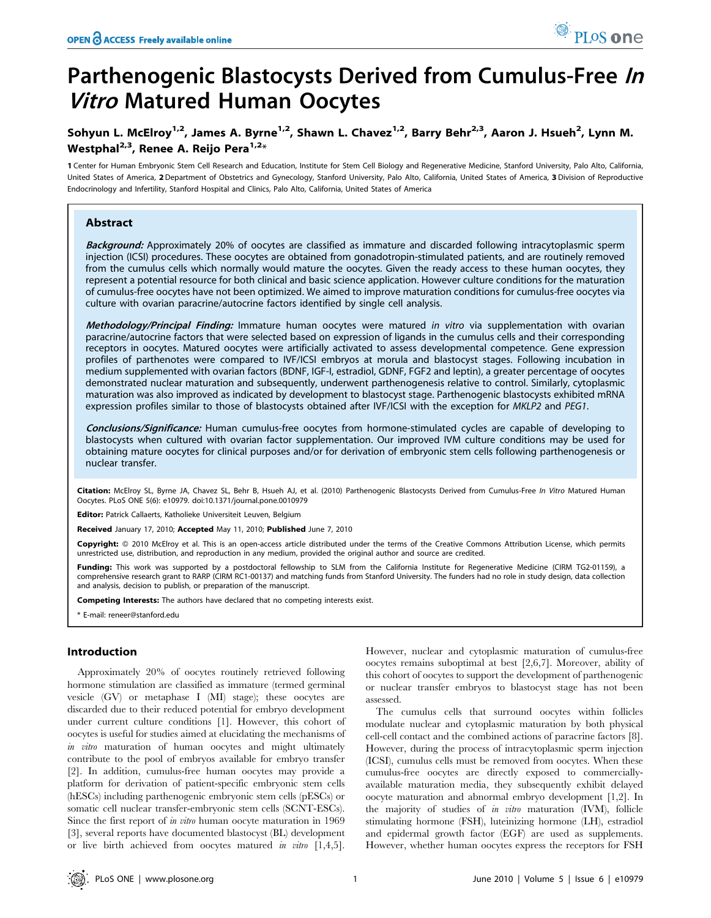# Parthenogenic Blastocysts Derived from Cumulus-Free In **Vitro Matured Human Oocytes**

# Sohyun L. McElroy<sup>1,2</sup>, James A. Byrne<sup>1,2</sup>, Shawn L. Chavez<sup>1,2</sup>, Barry Behr<sup>2,3</sup>, Aaron J. Hsueh<sup>2</sup>, Lynn M. Westphal<sup>2,3</sup>, Renee A. Reijo Pera<sup>1,2\*</sup>

1 Center for Human Embryonic Stem Cell Research and Education, Institute for Stem Cell Biology and Regenerative Medicine, Stanford University, Palo Alto, California, United States of America, 2Department of Obstetrics and Gynecology, Stanford University, Palo Alto, California, United States of America, 3 Division of Reproductive Endocrinology and Infertility, Stanford Hospital and Clinics, Palo Alto, California, United States of America

# Abstract

Background: Approximately 20% of oocytes are classified as immature and discarded following intracytoplasmic sperm injection (ICSI) procedures. These oocytes are obtained from gonadotropin-stimulated patients, and are routinely removed from the cumulus cells which normally would mature the oocytes. Given the ready access to these human oocytes, they represent a potential resource for both clinical and basic science application. However culture conditions for the maturation of cumulus-free oocytes have not been optimized. We aimed to improve maturation conditions for cumulus-free oocytes via culture with ovarian paracrine/autocrine factors identified by single cell analysis.

Methodology/Principal Finding: Immature human oocytes were matured in vitro via supplementation with ovarian paracrine/autocrine factors that were selected based on expression of ligands in the cumulus cells and their corresponding receptors in oocytes. Matured oocytes were artificially activated to assess developmental competence. Gene expression profiles of parthenotes were compared to IVF/ICSI embryos at morula and blastocyst stages. Following incubation in medium supplemented with ovarian factors (BDNF, IGF-I, estradiol, GDNF, FGF2 and leptin), a greater percentage of oocytes demonstrated nuclear maturation and subsequently, underwent parthenogenesis relative to control. Similarly, cytoplasmic maturation was also improved as indicated by development to blastocyst stage. Parthenogenic blastocysts exhibited mRNA expression profiles similar to those of blastocysts obtained after IVF/ICSI with the exception for MKLP2 and PEG1.

Conclusions/Significance: Human cumulus-free oocytes from hormone-stimulated cycles are capable of developing to blastocysts when cultured with ovarian factor supplementation. Our improved IVM culture conditions may be used for obtaining mature oocytes for clinical purposes and/or for derivation of embryonic stem cells following parthenogenesis or nuclear transfer.

Citation: McElroy SL, Byrne JA, Chavez SL, Behr B, Hsueh AJ, et al. (2010) Parthenogenic Blastocysts Derived from Cumulus-Free In Vitro Matured Human Oocytes. PLoS ONE 5(6): e10979. doi:10.1371/journal.pone.0010979

Editor: Patrick Callaerts, Katholieke Universiteit Leuven, Belgium

Received January 17, 2010; Accepted May 11, 2010; Published June 7, 2010

**Copyright:** © 2010 McElroy et al. This is an open-access article distributed under the terms of the Creative Commons Attribution License, which permits unrestricted use, distribution, and reproduction in any medium, provided the original author and source are credited.

Funding: This work was supported by a postdoctoral fellowship to SLM from the California Institute for Regenerative Medicine (CIRM TG2-01159), a comprehensive research grant to RARP (CIRM RC1-00137) and matching funds from Stanford University. The funders had no role in study design, data collection and analysis, decision to publish, or preparation of the manuscript.

Competing Interests: The authors have declared that no competing interests exist.

\* E-mail: reneer@stanford.edu

## Introduction

Approximately 20% of oocytes routinely retrieved following hormone stimulation are classified as immature (termed germinal vesicle (GV) or metaphase I (MI) stage); these oocytes are discarded due to their reduced potential for embryo development under current culture conditions [1]. However, this cohort of oocytes is useful for studies aimed at elucidating the mechanisms of in vitro maturation of human oocytes and might ultimately contribute to the pool of embryos available for embryo transfer [2]. In addition, cumulus-free human oocytes may provide a platform for derivation of patient-specific embryonic stem cells (hESCs) including parthenogenic embryonic stem cells (pESCs) or somatic cell nuclear transfer-embryonic stem cells (SCNT-ESCs). Since the first report of in vitro human oocyte maturation in 1969 [3], several reports have documented blastocyst (BL) development or live birth achieved from oocytes matured in vitro [1,4,5].

However, nuclear and cytoplasmic maturation of cumulus-free oocytes remains suboptimal at best [2,6,7]. Moreover, ability of this cohort of oocytes to support the development of parthenogenic or nuclear transfer embryos to blastocyst stage has not been assessed.

The cumulus cells that surround oocytes within follicles modulate nuclear and cytoplasmic maturation by both physical cell-cell contact and the combined actions of paracrine factors [8]. However, during the process of intracytoplasmic sperm injection (ICSI), cumulus cells must be removed from oocytes. When these cumulus-free oocytes are directly exposed to commerciallyavailable maturation media, they subsequently exhibit delayed oocyte maturation and abnormal embryo development [1,2]. In the majority of studies of in vitro maturation (IVM), follicle stimulating hormone (FSH), luteinizing hormone (LH), estradiol and epidermal growth factor (EGF) are used as supplements. However, whether human oocytes express the receptors for FSH

PLoS one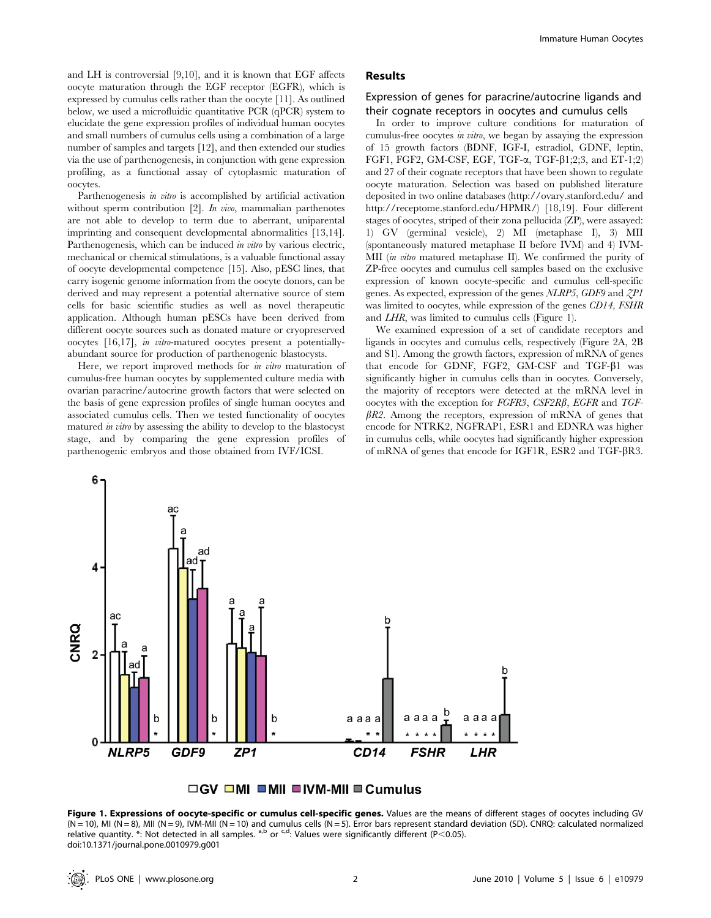and LH is controversial [9,10], and it is known that EGF affects oocyte maturation through the EGF receptor (EGFR), which is expressed by cumulus cells rather than the oocyte [11]. As outlined below, we used a microfluidic quantitative PCR (qPCR) system to elucidate the gene expression profiles of individual human oocytes and small numbers of cumulus cells using a combination of a large number of samples and targets [12], and then extended our studies via the use of parthenogenesis, in conjunction with gene expression profiling, as a functional assay of cytoplasmic maturation of oocytes.

Parthenogenesis in vitro is accomplished by artificial activation without sperm contribution [2]. In vivo, mammalian parthenotes are not able to develop to term due to aberrant, uniparental imprinting and consequent developmental abnormalities [13,14]. Parthenogenesis, which can be induced *in vitro* by various electric, mechanical or chemical stimulations, is a valuable functional assay of oocyte developmental competence [15]. Also, pESC lines, that carry isogenic genome information from the oocyte donors, can be derived and may represent a potential alternative source of stem cells for basic scientific studies as well as novel therapeutic application. Although human pESCs have been derived from different oocyte sources such as donated mature or cryopreserved oocytes [16,17], in vitro-matured oocytes present a potentiallyabundant source for production of parthenogenic blastocysts.

Here, we report improved methods for in vitro maturation of cumulus-free human oocytes by supplemented culture media with ovarian paracrine/autocrine growth factors that were selected on the basis of gene expression profiles of single human oocytes and associated cumulus cells. Then we tested functionality of oocytes matured in vitro by assessing the ability to develop to the blastocyst stage, and by comparing the gene expression profiles of parthenogenic embryos and those obtained from IVF/ICSI.

## Results

## Expression of genes for paracrine/autocrine ligands and their cognate receptors in oocytes and cumulus cells

In order to improve culture conditions for maturation of cumulus-free oocytes in vitro, we began by assaying the expression of 15 growth factors (BDNF, IGF-I, estradiol, GDNF, leptin, FGF1, FGF2, GM-CSF, EGF, TGF- $\alpha$ , TGF- $\beta$ 1;2;3, and ET-1;2) and 27 of their cognate receptors that have been shown to regulate oocyte maturation. Selection was based on published literature deposited in two online databases (http://ovary.stanford.edu/ and http://receptome.stanford.edu/HPMR/) [18,19]. Four different stages of oocytes, striped of their zona pellucida (ZP), were assayed: 1) GV (germinal vesicle), 2) MI (metaphase I), 3) MII (spontaneously matured metaphase II before IVM) and 4) IVM-MII *(in vitro* matured metaphase II). We confirmed the purity of ZP-free oocytes and cumulus cell samples based on the exclusive expression of known oocyte-specific and cumulus cell-specific genes. As expected, expression of the genes NLRP5, GDF9 and ZP1 was limited to oocytes, while expression of the genes CD14, FSHR and LHR, was limited to cumulus cells (Figure 1).

We examined expression of a set of candidate receptors and ligands in oocytes and cumulus cells, respectively (Figure 2A, 2B and S1). Among the growth factors, expression of mRNA of genes that encode for GDNF, FGF2, GM-CSF and TGF- $\beta$ 1 was significantly higher in cumulus cells than in oocytes. Conversely, the majority of receptors were detected at the mRNA level in oocytes with the exception for FGFR3, CSF2R $\beta$ , EGFR and TGF- $\beta R2$ . Among the receptors, expression of mRNA of genes that encode for NTRK2, NGFRAP1, ESR1 and EDNRA was higher in cumulus cells, while oocytes had significantly higher expression of mRNA of genes that encode for IGF1R, ESR2 and TGF-βR3.





Figure 1. Expressions of oocyte-specific or cumulus cell-specific genes. Values are the means of different stages of oocytes including GV  $(N = 10)$ , MI  $(N = 8)$ , MII  $(N = 9)$ , IVM-MII  $(N = 10)$  and cumulus cells  $(N = 5)$ . Error bars represent standard deviation (SD). CNRQ: calculated normalized relative quantity. \*: Not detected in all samples.  $a,b$  or  $c,d$ : Values were significantly different (P<0.05). doi:10.1371/journal.pone.0010979.g001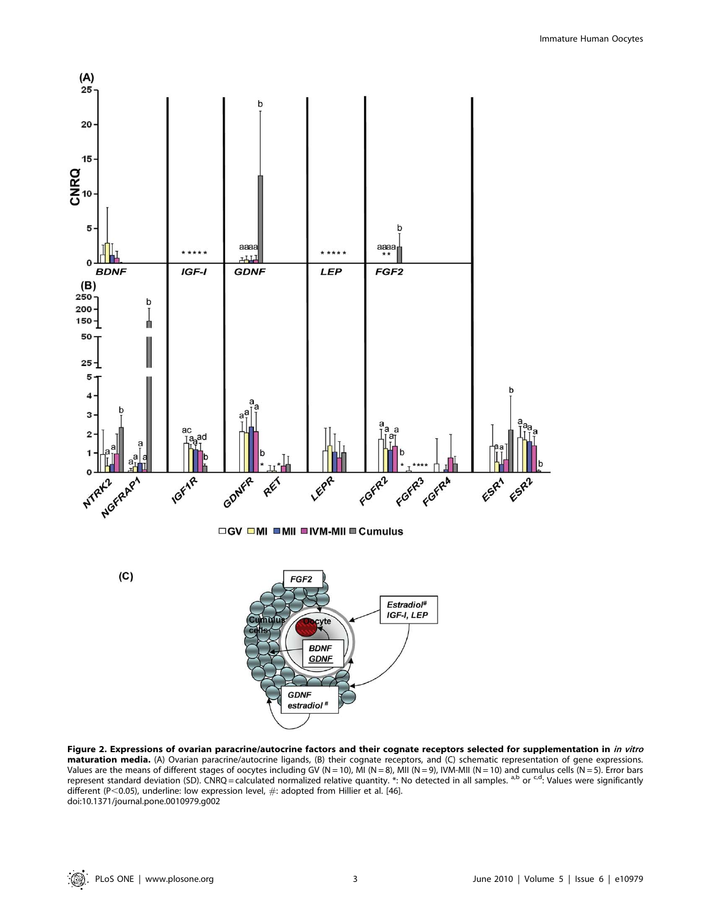

Figure 2. Expressions of ovarian paracrine/autocrine factors and their cognate receptors selected for supplementation in in vitro maturation media. (A) Ovarian paracrine/autocrine ligands, (B) their cognate receptors, and (C) schematic representation of gene expressions. Values are the means of different stages of oocytes including GV (N = 10), MI (N = 8), MII (N = 9), IVM-MII (N = 10) and cumulus cells (N = 5). Error bars represent standard deviation (SD). CNRQ = calculated normalized relative quantity. \*: No detected in all samples. <sup>a,b</sup> or <sup>c,d</sup>: Values were significantly different (P<0.05), underline: low expression level,  $\#$ : adopted from Hillier et al. [46]. doi:10.1371/journal.pone.0010979.g002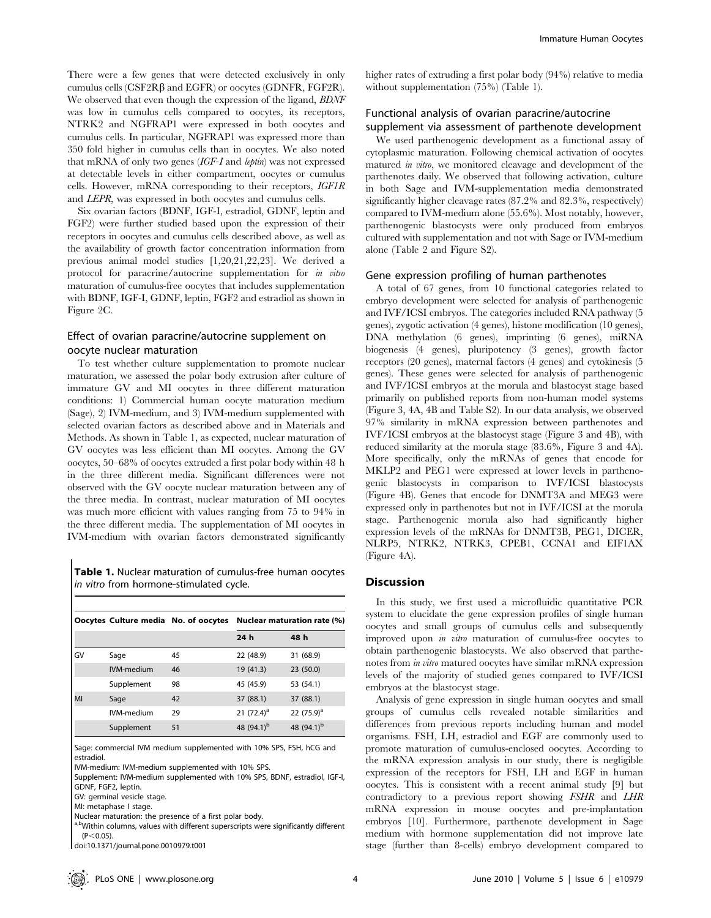There were a few genes that were detected exclusively in only cumulus cells  $(CSF2R\beta$  and  $EGFR$ ) or oocytes (GDNFR, FGF2R). We observed that even though the expression of the ligand, *BDNF* was low in cumulus cells compared to oocytes, its receptors, NTRK2 and NGFRAP1 were expressed in both oocytes and cumulus cells. In particular, NGFRAP1 was expressed more than 350 fold higher in cumulus cells than in oocytes. We also noted that mRNA of only two genes (IGF-I and leptin) was not expressed at detectable levels in either compartment, oocytes or cumulus cells. However, mRNA corresponding to their receptors, IGF1R and LEPR, was expressed in both oocytes and cumulus cells.

Six ovarian factors (BDNF, IGF-I, estradiol, GDNF, leptin and FGF2) were further studied based upon the expression of their receptors in oocytes and cumulus cells described above, as well as the availability of growth factor concentration information from previous animal model studies [1,20,21,22,23]. We derived a protocol for paracrine/autocrine supplementation for in vitro maturation of cumulus-free oocytes that includes supplementation with BDNF, IGF-I, GDNF, leptin, FGF2 and estradiol as shown in Figure 2C.

# Effect of ovarian paracrine/autocrine supplement on oocyte nuclear maturation

To test whether culture supplementation to promote nuclear maturation, we assessed the polar body extrusion after culture of immature GV and MI oocytes in three different maturation conditions: 1) Commercial human oocyte maturation medium (Sage), 2) IVM-medium, and 3) IVM-medium supplemented with selected ovarian factors as described above and in Materials and Methods. As shown in Table 1, as expected, nuclear maturation of GV oocytes was less efficient than MI oocytes. Among the GV oocytes, 50–68% of oocytes extruded a first polar body within 48 h in the three different media. Significant differences were not observed with the GV oocyte nuclear maturation between any of the three media. In contrast, nuclear maturation of MI oocytes was much more efficient with values ranging from 75 to 94% in the three different media. The supplementation of MI oocytes in IVM-medium with ovarian factors demonstrated significantly

Table 1. Nuclear maturation of cumulus-free human oocytes in vitro from hormone-stimulated cycle.

|    | Oocytes Culture media No. of oocytes |    | Nuclear maturation rate (%) |                        |  |
|----|--------------------------------------|----|-----------------------------|------------------------|--|
|    |                                      |    | 24 h                        | 48 h                   |  |
| GV | Sage                                 | 45 | 22 (48.9)                   | 31 (68.9)              |  |
|    | IVM-medium                           | 46 | 19 (41.3)                   | 23 (50.0)              |  |
|    | Supplement                           | 98 | 45 (45.9)                   | 53 (54.1)              |  |
| MI | Sage                                 | 42 | 37 (88.1)                   | 37 (88.1)              |  |
|    | IVM-medium                           | 29 | 21 $(72.4)^a$               | 22 $(75.9)^a$          |  |
|    | Supplement                           | 51 | 48 (94.1) <sup>b</sup>      | 48 (94.1) <sup>b</sup> |  |

Sage: commercial IVM medium supplemented with 10% SPS, FSH, hCG and estradiol.

IVM-medium: IVM-medium supplemented with 10% SPS.

Supplement: IVM-medium supplemented with 10% SPS, BDNF, estradiol, IGF-I,

GDNF, FGF2, leptin.

GV: germinal vesicle stage.

MI: metaphase I stage.

Nuclear maturation: the presence of a first polar body.

a,bWithin columns, values with different superscripts were significantly different  $(P<0.05)$ .

doi:10.1371/journal.pone.0010979.t001

higher rates of extruding a first polar body (94%) relative to media without supplementation (75%) (Table 1).

# Functional analysis of ovarian paracrine/autocrine supplement via assessment of parthenote development

We used parthenogenic development as a functional assay of cytoplasmic maturation. Following chemical activation of oocytes matured in vitro, we monitored cleavage and development of the parthenotes daily. We observed that following activation, culture in both Sage and IVM-supplementation media demonstrated significantly higher cleavage rates (87.2% and 82.3%, respectively) compared to IVM-medium alone (55.6%). Most notably, however, parthenogenic blastocysts were only produced from embryos cultured with supplementation and not with Sage or IVM-medium alone (Table 2 and Figure S2).

# Gene expression profiling of human parthenotes

A total of 67 genes, from 10 functional categories related to embryo development were selected for analysis of parthenogenic and IVF/ICSI embryos. The categories included RNA pathway (5 genes), zygotic activation (4 genes), histone modification (10 genes), DNA methylation (6 genes), imprinting (6 genes), miRNA biogenesis (4 genes), pluripotency (3 genes), growth factor receptors (20 genes), maternal factors (4 genes) and cytokinesis (5 genes). These genes were selected for analysis of parthenogenic and IVF/ICSI embryos at the morula and blastocyst stage based primarily on published reports from non-human model systems (Figure 3, 4A, 4B and Table S2). In our data analysis, we observed 97% similarity in mRNA expression between parthenotes and IVF/ICSI embryos at the blastocyst stage (Figure 3 and 4B), with reduced similarity at the morula stage (83.6%, Figure 3 and 4A). More specifically, only the mRNAs of genes that encode for MKLP2 and PEG1 were expressed at lower levels in parthenogenic blastocysts in comparison to IVF/ICSI blastocysts (Figure 4B). Genes that encode for DNMT3A and MEG3 were expressed only in parthenotes but not in IVF/ICSI at the morula stage. Parthenogenic morula also had significantly higher expression levels of the mRNAs for DNMT3B, PEG1, DICER, NLRP5, NTRK2, NTRK3, CPEB1, CCNA1 and EIF1AX (Figure 4A).

# Discussion

In this study, we first used a microfluidic quantitative PCR system to elucidate the gene expression profiles of single human oocytes and small groups of cumulus cells and subsequently improved upon in vitro maturation of cumulus-free oocytes to obtain parthenogenic blastocysts. We also observed that parthenotes from in vitro matured oocytes have similar mRNA expression levels of the majority of studied genes compared to IVF/ICSI embryos at the blastocyst stage.

Analysis of gene expression in single human oocytes and small groups of cumulus cells revealed notable similarities and differences from previous reports including human and model organisms. FSH, LH, estradiol and EGF are commonly used to promote maturation of cumulus-enclosed oocytes. According to the mRNA expression analysis in our study, there is negligible expression of the receptors for FSH, LH and EGF in human oocytes. This is consistent with a recent animal study [9] but contradictory to a previous report showing FSHR and LHR mRNA expression in mouse oocytes and pre-implantation embryos [10]. Furthermore, parthenote development in Sage medium with hormone supplementation did not improve late stage (further than 8-cells) embryo development compared to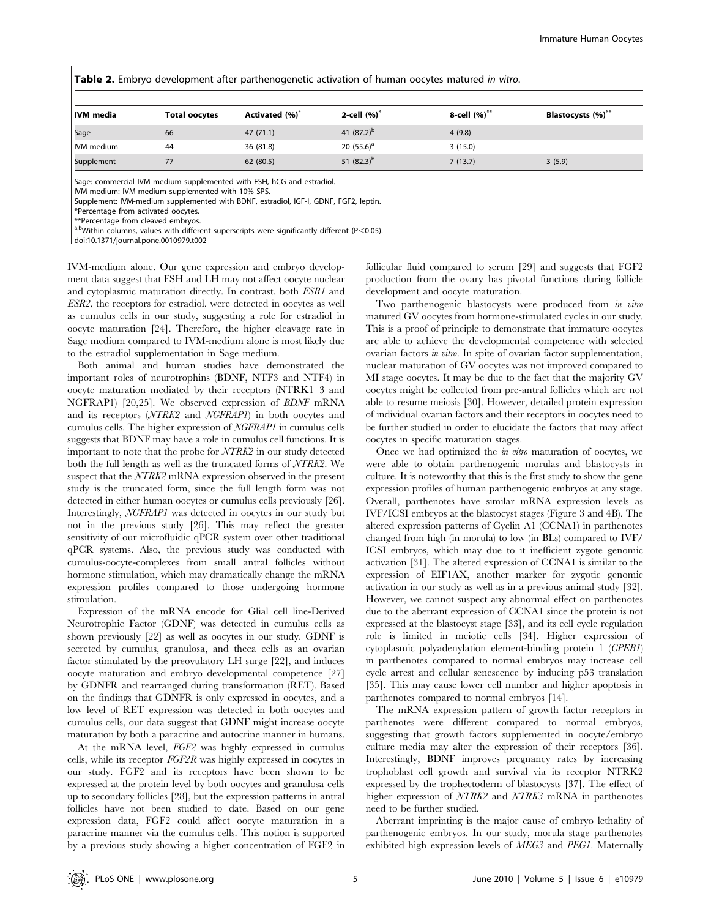|  |  |  | <b>Table 2.</b> Embryo development after parthenogenetic activation of human oocytes matured <i>in vitro</i> . |
|--|--|--|----------------------------------------------------------------------------------------------------------------|
|--|--|--|----------------------------------------------------------------------------------------------------------------|

| IVM media  | <b>Total oocytes</b> | Activated (%) <sup>*</sup> | 2-cell $(%)^*$ | 8-cell (%)** | Blastocysts (%)** |
|------------|----------------------|----------------------------|----------------|--------------|-------------------|
| Sage       | 66                   | 47(71.1)                   | 41 $(87.2)^b$  | 4(9.8)       |                   |
| IVM-medium | 44                   | 36 (81.8)                  | 20 $(55.6)^a$  | 3(15.0)      |                   |
| Supplement |                      | 62 (80.5)                  | 51 $(82.3)^b$  | 7(13.7)      | 3(5.9)            |

Sage: commercial IVM medium supplemented with FSH, hCG and estradiol.

IVM-medium: IVM-medium supplemented with 10% SPS.

Supplement: IVM-medium supplemented with BDNF, estradiol, IGF-I, GDNF, FGF2, leptin.

\*Percentage from activated oocytes.

\*\*Percentage from cleaved embryos.

a,bWithin columns, values with different superscripts were significantly different (P<0.05).

doi:10.1371/journal.pone.0010979.t002

IVM-medium alone. Our gene expression and embryo development data suggest that FSH and LH may not affect oocyte nuclear and cytoplasmic maturation directly. In contrast, both ESR1 and ESR2, the receptors for estradiol, were detected in oocytes as well as cumulus cells in our study, suggesting a role for estradiol in oocyte maturation [24]. Therefore, the higher cleavage rate in Sage medium compared to IVM-medium alone is most likely due to the estradiol supplementation in Sage medium.

Both animal and human studies have demonstrated the important roles of neurotrophins (BDNF, NTF3 and NTF4) in oocyte maturation mediated by their receptors (NTRK1–3 and NGFRAP1) [20,25]. We observed expression of BDNF mRNA and its receptors (NTRK2 and NGFRAP1) in both oocytes and cumulus cells. The higher expression of NGFRAP1 in cumulus cells suggests that BDNF may have a role in cumulus cell functions. It is important to note that the probe for NTRK2 in our study detected both the full length as well as the truncated forms of NTRK2. We suspect that the NTRK2 mRNA expression observed in the present study is the truncated form, since the full length form was not detected in either human oocytes or cumulus cells previously [26]. Interestingly, NGFRAP1 was detected in oocytes in our study but not in the previous study [26]. This may reflect the greater sensitivity of our microfluidic qPCR system over other traditional qPCR systems. Also, the previous study was conducted with cumulus-oocyte-complexes from small antral follicles without hormone stimulation, which may dramatically change the mRNA expression profiles compared to those undergoing hormone stimulation.

Expression of the mRNA encode for Glial cell line-Derived Neurotrophic Factor (GDNF) was detected in cumulus cells as shown previously [22] as well as oocytes in our study. GDNF is secreted by cumulus, granulosa, and theca cells as an ovarian factor stimulated by the preovulatory LH surge [22], and induces oocyte maturation and embryo developmental competence [27] by GDNFR and rearranged during transformation (RET). Based on the findings that GDNFR is only expressed in oocytes, and a low level of RET expression was detected in both oocytes and cumulus cells, our data suggest that GDNF might increase oocyte maturation by both a paracrine and autocrine manner in humans.

At the mRNA level, FGF2 was highly expressed in cumulus cells, while its receptor FGF2R was highly expressed in oocytes in our study. FGF2 and its receptors have been shown to be expressed at the protein level by both oocytes and granulosa cells up to secondary follicles [28], but the expression patterns in antral follicles have not been studied to date. Based on our gene expression data, FGF2 could affect oocyte maturation in a paracrine manner via the cumulus cells. This notion is supported by a previous study showing a higher concentration of FGF2 in follicular fluid compared to serum [29] and suggests that FGF2 production from the ovary has pivotal functions during follicle development and oocyte maturation.

Two parthenogenic blastocysts were produced from in vitro matured GV oocytes from hormone-stimulated cycles in our study. This is a proof of principle to demonstrate that immature oocytes are able to achieve the developmental competence with selected ovarian factors in vitro. In spite of ovarian factor supplementation, nuclear maturation of GV oocytes was not improved compared to MI stage oocytes. It may be due to the fact that the majority GV oocytes might be collected from pre-antral follicles which are not able to resume meiosis [30]. However, detailed protein expression of individual ovarian factors and their receptors in oocytes need to be further studied in order to elucidate the factors that may affect oocytes in specific maturation stages.

Once we had optimized the in vitro maturation of oocytes, we were able to obtain parthenogenic morulas and blastocysts in culture. It is noteworthy that this is the first study to show the gene expression profiles of human parthenogenic embryos at any stage. Overall, parthenotes have similar mRNA expression levels as IVF/ICSI embryos at the blastocyst stages (Figure 3 and 4B). The altered expression patterns of Cyclin A1 (CCNA1) in parthenotes changed from high (in morula) to low (in BLs) compared to IVF/ ICSI embryos, which may due to it inefficient zygote genomic activation [31]. The altered expression of CCNA1 is similar to the expression of EIF1AX, another marker for zygotic genomic activation in our study as well as in a previous animal study [32]. However, we cannot suspect any abnormal effect on parthenotes due to the aberrant expression of CCNA1 since the protein is not expressed at the blastocyst stage [33], and its cell cycle regulation role is limited in meiotic cells [34]. Higher expression of cytoplasmic polyadenylation element-binding protein 1 (CPEB1) in parthenotes compared to normal embryos may increase cell cycle arrest and cellular senescence by inducing p53 translation [35]. This may cause lower cell number and higher apoptosis in parthenotes compared to normal embryos [14].

The mRNA expression pattern of growth factor receptors in parthenotes were different compared to normal embryos, suggesting that growth factors supplemented in oocyte/embryo culture media may alter the expression of their receptors [36]. Interestingly, BDNF improves pregnancy rates by increasing trophoblast cell growth and survival via its receptor NTRK2 expressed by the trophectoderm of blastocysts [37]. The effect of higher expression of  $\overline{NTRK2}$  and  $\overline{NTRK3}$  mRNA in parthenotes need to be further studied.

Aberrant imprinting is the major cause of embryo lethality of parthenogenic embryos. In our study, morula stage parthenotes exhibited high expression levels of MEG3 and PEG1. Maternally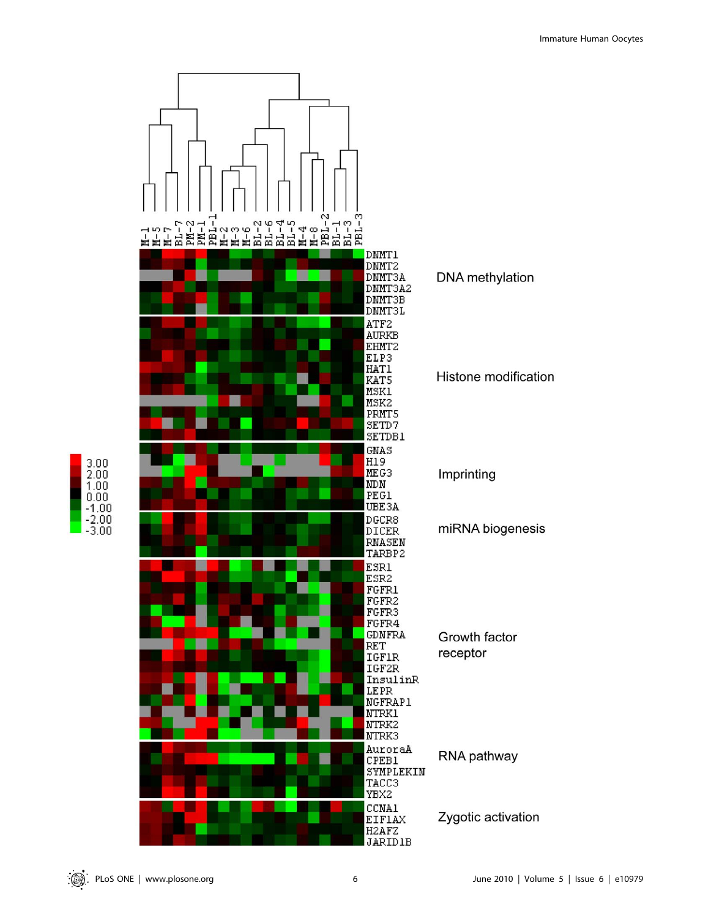

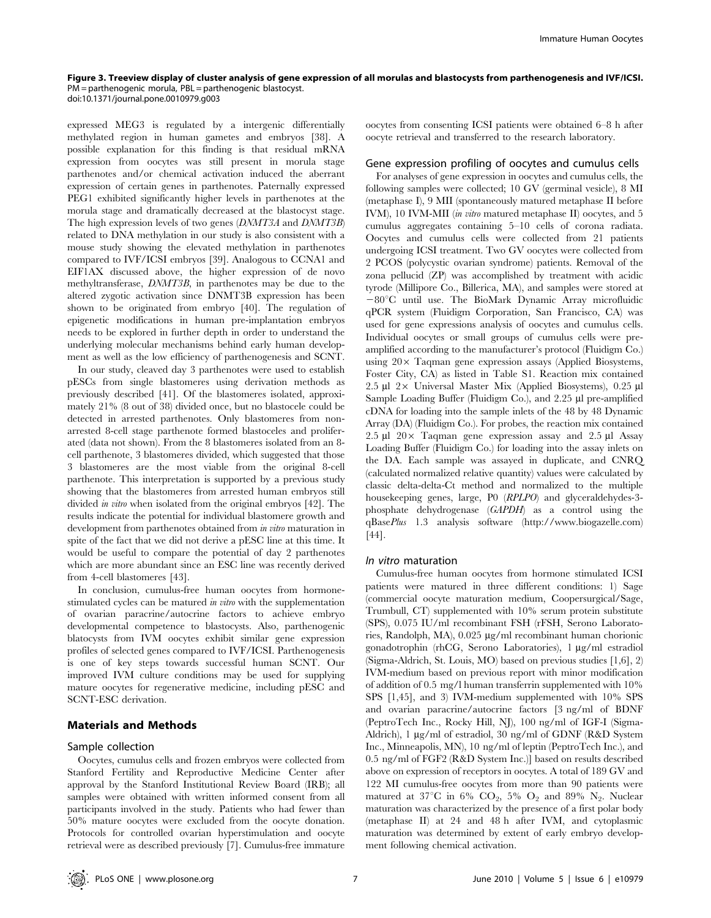#### Figure 3. Treeview display of cluster analysis of gene expression of all morulas and blastocysts from parthenogenesis and IVF/ICSI. PM = parthenogenic morula, PBL = parthenogenic blastocyst. doi:10.1371/journal.pone.0010979.g003

expressed MEG3 is regulated by a intergenic differentially methylated region in human gametes and embryos [38]. A possible explanation for this finding is that residual mRNA expression from oocytes was still present in morula stage parthenotes and/or chemical activation induced the aberrant expression of certain genes in parthenotes. Paternally expressed PEG1 exhibited significantly higher levels in parthenotes at the morula stage and dramatically decreased at the blastocyst stage. The high expression levels of two genes (DNMT3A and DNMT3B) related to DNA methylation in our study is also consistent with a mouse study showing the elevated methylation in parthenotes compared to IVF/ICSI embryos [39]. Analogous to CCNA1 and EIF1AX discussed above, the higher expression of de novo methyltransferase, DNMT3B, in parthenotes may be due to the altered zygotic activation since DNMT3B expression has been shown to be originated from embryo [40]. The regulation of epigenetic modifications in human pre-implantation embryos needs to be explored in further depth in order to understand the underlying molecular mechanisms behind early human development as well as the low efficiency of parthenogenesis and SCNT.

In our study, cleaved day 3 parthenotes were used to establish pESCs from single blastomeres using derivation methods as previously described [41]. Of the blastomeres isolated, approximately 21% (8 out of 38) divided once, but no blastocele could be detected in arrested parthenotes. Only blastomeres from nonarrested 8-cell stage parthenote formed blastoceles and proliferated (data not shown). From the 8 blastomeres isolated from an 8 cell parthenote, 3 blastomeres divided, which suggested that those 3 blastomeres are the most viable from the original 8-cell parthenote. This interpretation is supported by a previous study showing that the blastomeres from arrested human embryos still divided in vitro when isolated from the original embryos [42]. The results indicate the potential for individual blastomere growth and development from parthenotes obtained from *in vitro* maturation in spite of the fact that we did not derive a pESC line at this time. It would be useful to compare the potential of day 2 parthenotes which are more abundant since an ESC line was recently derived from 4-cell blastomeres [43].

In conclusion, cumulus-free human oocytes from hormonestimulated cycles can be matured in vitro with the supplementation of ovarian paracrine/autocrine factors to achieve embryo developmental competence to blastocysts. Also, parthenogenic blatocysts from IVM oocytes exhibit similar gene expression profiles of selected genes compared to IVF/ICSI. Parthenogenesis is one of key steps towards successful human SCNT. Our improved IVM culture conditions may be used for supplying mature oocytes for regenerative medicine, including pESC and SCNT-ESC derivation.

#### Materials and Methods

#### Sample collection

Oocytes, cumulus cells and frozen embryos were collected from Stanford Fertility and Reproductive Medicine Center after approval by the Stanford Institutional Review Board (IRB); all samples were obtained with written informed consent from all participants involved in the study. Patients who had fewer than 50% mature oocytes were excluded from the oocyte donation. Protocols for controlled ovarian hyperstimulation and oocyte retrieval were as described previously [7]. Cumulus-free immature

oocytes from consenting ICSI patients were obtained 6–8 h after oocyte retrieval and transferred to the research laboratory.

#### Gene expression profiling of oocytes and cumulus cells

For analyses of gene expression in oocytes and cumulus cells, the following samples were collected; 10 GV (germinal vesicle), 8 MI (metaphase I), 9 MII (spontaneously matured metaphase II before IVM), 10 IVM-MII (in vitro matured metaphase II) oocytes, and 5 cumulus aggregates containing 5–10 cells of corona radiata. Oocytes and cumulus cells were collected from 21 patients undergoing ICSI treatment. Two GV oocytes were collected from 2 PCOS (polycystic ovarian syndrome) patients. Removal of the zona pellucid (ZP) was accomplished by treatment with acidic tyrode (Millipore Co., Billerica, MA), and samples were stored at  $-80^{\circ}$ C until use. The BioMark Dynamic Array microfluidic qPCR system (Fluidigm Corporation, San Francisco, CA) was used for gene expressions analysis of oocytes and cumulus cells. Individual oocytes or small groups of cumulus cells were preamplified according to the manufacturer's protocol (Fluidigm Co.) using  $20 \times$  Taqman gene expression assays (Applied Biosystems, Foster City, CA) as listed in Table S1. Reaction mix contained 2.5 µl 2× Universal Master Mix (Applied Biosystems), 0.25 µl Sample Loading Buffer (Fluidigm Co.), and 2.25 µl pre-amplified cDNA for loading into the sample inlets of the 48 by 48 Dynamic Array (DA) (Fluidigm Co.). For probes, the reaction mix contained 2.5  $\mu$ l 20 $\times$  Taqman gene expression assay and 2.5  $\mu$ l Assay Loading Buffer (Fluidigm Co.) for loading into the assay inlets on the DA. Each sample was assayed in duplicate, and CNRQ (calculated normalized relative quantity) values were calculated by classic delta-delta-Ct method and normalized to the multiple housekeeping genes, large, P0 (RPLPO) and glyceraldehydes-3 phosphate dehydrogenase (GAPDH) as a control using the qBasePlus 1.3 analysis software (http://www.biogazelle.com) [44].

#### In vitro maturation

Cumulus-free human oocytes from hormone stimulated ICSI patients were matured in three different conditions: 1) Sage (commercial oocyte maturation medium, Coopersurgical/Sage, Trumbull, CT) supplemented with 10% serum protein substitute (SPS), 0.075 IU/ml recombinant FSH (rFSH, Serono Laboratories, Randolph, MA),  $0.025 \mu g/ml$  recombinant human chorionic gonadotrophin (rhCG, Serono Laboratories), 1 µg/ml estradiol (Sigma-Aldrich, St. Louis, MO) based on previous studies [1,6], 2) IVM-medium based on previous report with minor modification of addition of 0.5 mg/l human transferrin supplemented with 10% SPS [1,45], and 3) IVM-medium supplemented with 10% SPS and ovarian paracrine/autocrine factors [3 ng/ml of BDNF (PeptroTech Inc., Rocky Hill, NJ), 100 ng/ml of IGF-I (Sigma-Aldrich), 1 µg/ml of estradiol, 30 ng/ml of GDNF (R&D System Inc., Minneapolis, MN), 10 ng/ml of leptin (PeptroTech Inc.), and 0.5 ng/ml of FGF2 (R&D System Inc.)] based on results described above on expression of receptors in oocytes. A total of 189 GV and 122 MI cumulus-free oocytes from more than 90 patients were matured at 37°C in 6% CO<sub>2</sub>, 5% O<sub>2</sub> and 89% N<sub>2</sub>. Nuclear maturation was characterized by the presence of a first polar body (metaphase II) at 24 and 48 h after IVM, and cytoplasmic maturation was determined by extent of early embryo development following chemical activation.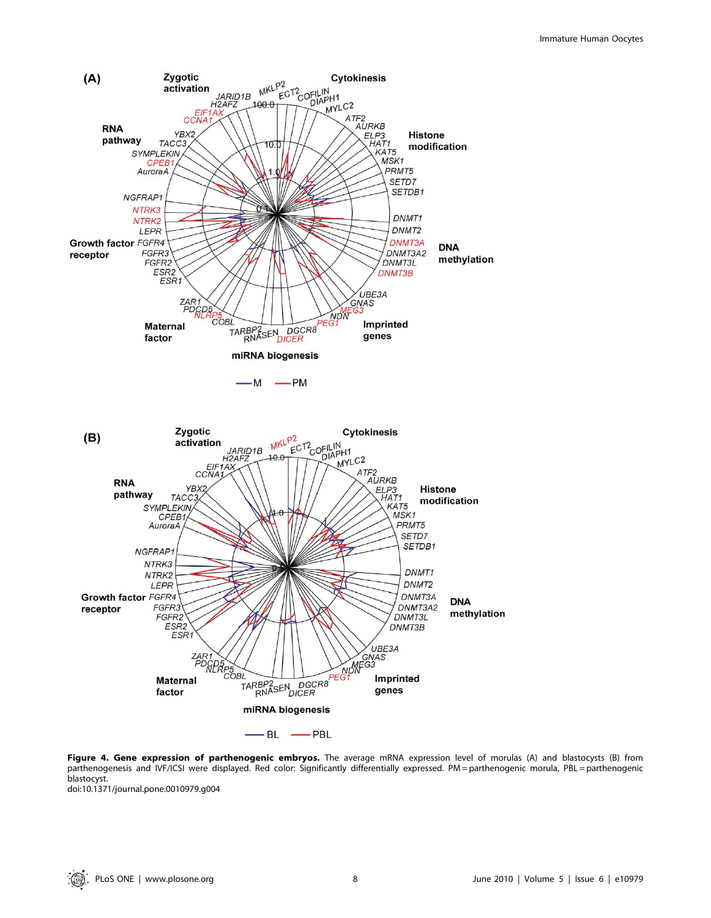

Figure 4. Gene expression of parthenogenic embryos. The average mRNA expression level of morulas (A) and blastocysts (B) from parthenogenesis and IVF/ICSI were displayed. Red color: Significantly differentially expressed. PM = parthenogenic morula, PBL = parthenogenic blastocyst.

doi:10.1371/journal.pone.0010979.g004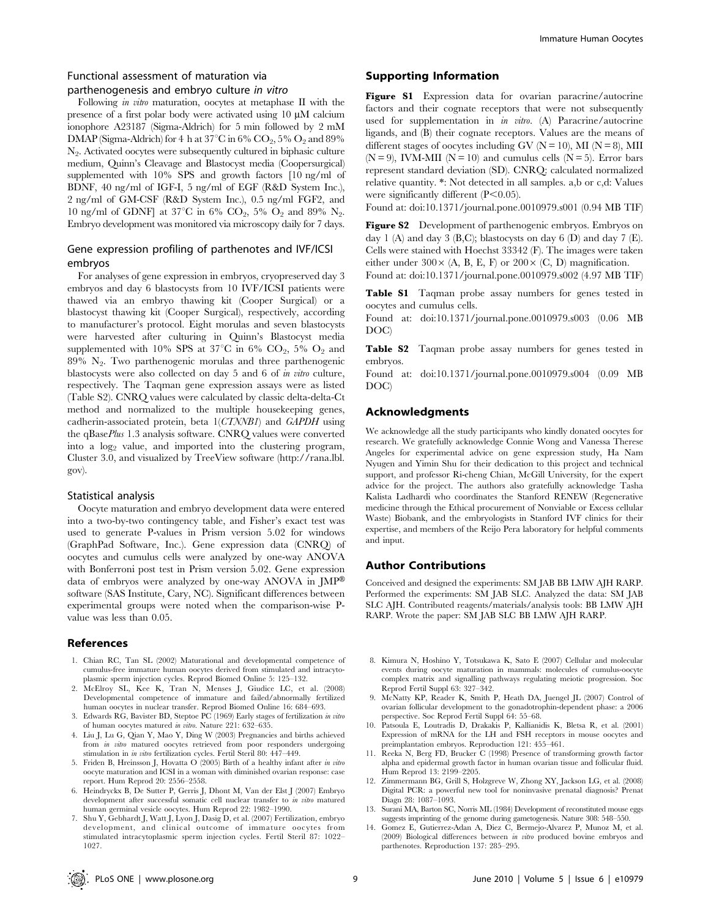# Functional assessment of maturation via parthenogenesis and embryo culture in vitro

Following *in vitro* maturation, oocytes at metaphase II with the presence of a first polar body were activated using  $10 \mu M$  calcium ionophore A23187 (Sigma-Aldrich) for 5 min followed by 2 mM DMAP (Sigma-Aldrich) for 4 h at 37 $\mathrm{^{\circ}C}$  in 6%  $\mathrm{CO}_2$ , 5%  $\mathrm{O}_2$  and 89% N2. Activated oocytes were subsequently cultured in biphasic culture medium, Quinn's Cleavage and Blastocyst media (Coopersurgical) supplemented with 10% SPS and growth factors [10 ng/ml of BDNF, 40 ng/ml of IGF-I, 5 ng/ml of EGF (R&D System Inc.), 2 ng/ml of GM-CSF (R&D System Inc.), 0.5 ng/ml FGF2, and 10 ng/ml of GDNF] at 37°C in 6% CO<sub>2</sub>, 5% O<sub>2</sub> and 89% N<sub>2</sub>. Embryo development was monitored via microscopy daily for 7 days.

# Gene expression profiling of parthenotes and IVF/ICSI embryos

For analyses of gene expression in embryos, cryopreserved day 3 embryos and day 6 blastocysts from 10 IVF/ICSI patients were thawed via an embryo thawing kit (Cooper Surgical) or a blastocyst thawing kit (Cooper Surgical), respectively, according to manufacturer's protocol. Eight morulas and seven blastocysts were harvested after culturing in Quinn's Blastocyst media supplemented with 10% SPS at 37°C in 6% CO<sub>2</sub>, 5% O<sub>2</sub> and  $89\%$  N<sub>2</sub>. Two parthenogenic morulas and three parthenogenic blastocysts were also collected on day 5 and 6 of in vitro culture, respectively. The Taqman gene expression assays were as listed (Table S2). CNRQ values were calculated by classic delta-delta-Ct method and normalized to the multiple housekeeping genes, cadherin-associated protein, beta 1(CTNNB1) and GAPDH using the qBasePlus 1.3 analysis software. CNRQ values were converted into a  $log<sub>2</sub>$  value, and imported into the clustering program, Cluster 3.0, and visualized by TreeView software (http://rana.lbl. gov).

#### Statistical analysis

Oocyte maturation and embryo development data were entered into a two-by-two contingency table, and Fisher's exact test was used to generate P-values in Prism version 5.02 for windows (GraphPad Software, Inc.). Gene expression data (CNRQ) of oocytes and cumulus cells were analyzed by one-way ANOVA with Bonferroni post test in Prism version 5.02. Gene expression data of embryos were analyzed by one-way ANOVA in  $JMP^{\circledR}$ software (SAS Institute, Cary, NC). Significant differences between experimental groups were noted when the comparison-wise Pvalue was less than 0.05.

## References

- 1. Chian RC, Tan SL (2002) Maturational and developmental competence of cumulus-free immature human oocytes derived from stimulated and intracytoplasmic sperm injection cycles. Reprod Biomed Online 5: 125–132.
- 2. McElroy SL, Kee K, Tran N, Menses J, Giudice LC, et al. (2008) Developmental competence of immature and failed/abnormally fertilized human oocytes in nuclear transfer. Reprod Biomed Online 16: 684–693.
- 3. Edwards RG, Bavister BD, Steptoe PC (1969) Early stages of fertilization in vitro of human oocytes matured in vitro. Nature 221: 632–635.
- 4. Liu J, Lu G, Qian Y, Mao Y, Ding W (2003) Pregnancies and births achieved from in vitro matured oocytes retrieved from poor responders undergoing stimulation in in vitro fertilization cycles. Fertil Steril 80: 447–449.
- 5. Friden B, Hreinsson J, Hovatta O (2005) Birth of a healthy infant after in vitro oocyte maturation and ICSI in a woman with diminished ovarian response: case report. Hum Reprod 20: 2556–2558.
- 6. Heindryckx B, De Sutter P, Gerris J, Dhont M, Van der Elst J (2007) Embryo development after successful somatic cell nuclear transfer to in vitro matured human germinal vesicle oocytes. Hum Reprod 22: 1982–1990.
- 7. Shu Y, Gebhardt J, Watt J, Lyon J, Dasig D, et al. (2007) Fertilization, embryo development, and clinical outcome of immature oocytes from stimulated intracytoplasmic sperm injection cycles. Fertil Steril 87: 1022– 1027.

## Supporting Information

Figure S1 Expression data for ovarian paracrine/autocrine factors and their cognate receptors that were not subsequently used for supplementation in in vitro. (A) Paracrine/autocrine ligands, and (B) their cognate receptors. Values are the means of different stages of oocytes including GV ( $N = 10$ ), MI ( $N = 8$ ), MII  $(N = 9)$ , IVM-MII  $(N = 10)$  and cumulus cells  $(N = 5)$ . Error bars represent standard deviation (SD). CNRQ: calculated normalized relative quantity. \*: Not detected in all samples. a,b or c,d: Values were significantly different  $(P<0.05)$ .

Found at: doi:10.1371/journal.pone.0010979.s001 (0.94 MB TIF)

Figure S2 Development of parthenogenic embryos. Embryos on day 1 (A) and day 3 (B,C); blastocysts on day 6 (D) and day 7 (E). Cells were stained with Hoechst 33342 (F). The images were taken either under  $300 \times (A, B, E, F)$  or  $200 \times (C, D)$  magnification.

Found at: doi:10.1371/journal.pone.0010979.s002 (4.97 MB TIF)

Table S1 Taqman probe assay numbers for genes tested in oocytes and cumulus cells.

Found at: doi:10.1371/journal.pone.0010979.s003 (0.06 MB DOC)

Table S2 Taqman probe assay numbers for genes tested in embryos.

Found at: doi:10.1371/journal.pone.0010979.s004 (0.09 MB DOC)

#### Acknowledgments

We acknowledge all the study participants who kindly donated oocytes for research. We gratefully acknowledge Connie Wong and Vanessa Therese Angeles for experimental advice on gene expression study, Ha Nam Nyugen and Yimin Shu for their dedication to this project and technical support, and professor Ri-cheng Chian, McGill University, for the expert advice for the project. The authors also gratefully acknowledge Tasha Kalista Ladhardi who coordinates the Stanford RENEW (Regenerative medicine through the Ethical procurement of Nonviable or Excess cellular Waste) Biobank, and the embryologists in Stanford IVF clinics for their expertise, and members of the Reijo Pera laboratory for helpful comments and input.

## Author Contributions

Conceived and designed the experiments: SM JAB BB LMW AJH RARP. Performed the experiments: SM JAB SLC. Analyzed the data: SM JAB SLC AJH. Contributed reagents/materials/analysis tools: BB LMW AJH RARP. Wrote the paper: SM JAB SLC BB LMW AJH RARP.

- 8. Kimura N, Hoshino Y, Totsukawa K, Sato E (2007) Cellular and molecular events during oocyte maturation in mammals: molecules of cumulus-oocyte complex matrix and signalling pathways regulating meiotic progression. Soc Reprod Fertil Suppl 63: 327–342.
- 9. McNatty KP, Reader K, Smith P, Heath DA, Juengel JL (2007) Control of ovarian follicular development to the gonadotrophin-dependent phase: a 2006 perspective. Soc Reprod Fertil Suppl 64: 55–68.
- 10. Patsoula E, Loutradis D, Drakakis P, Kallianidis K, Bletsa R, et al. (2001) Expression of mRNA for the LH and FSH receptors in mouse oocytes and preimplantation embryos. Reproduction 121: 455–461.
- 11. Reeka N, Berg FD, Brucker C (1998) Presence of transforming growth factor alpha and epidermal growth factor in human ovarian tissue and follicular fluid. Hum Reprod 13: 2199–2205.
- 12. Zimmermann BG, Grill S, Holzgreve W, Zhong XY, Jackson LG, et al. (2008) Digital PCR: a powerful new tool for noninvasive prenatal diagnosis? Prenat Diagn 28: 1087–1093.
- 13. Surani MA, Barton SC, Norris ML (1984) Development of reconstituted mouse eggs suggests imprinting of the genome during gametogenesis. Nature 308: 548–550.
- 14. Gomez E, Gutierrez-Adan A, Diez C, Bermejo-Alvarez P, Munoz M, et al. (2009) Biological differences between in vitro produced bovine embryos and parthenotes. Reproduction 137: 285–295.